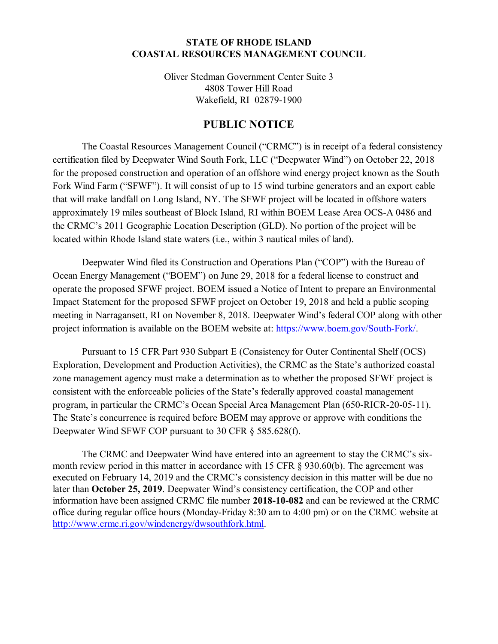## **STATE OF RHODE ISLAND COASTAL RESOURCES MANAGEMENT COUNCIL**

Oliver Stedman Government Center Suite 3 4808 Tower Hill Road Wakefield, RI 02879-1900

## **PUBLIC NOTICE**

The Coastal Resources Management Council ("CRMC") is in receipt of a federal consistency certification filed by Deepwater Wind South Fork, LLC ("Deepwater Wind") on October 22, 2018 for the proposed construction and operation of an offshore wind energy project known as the South Fork Wind Farm ("SFWF"). It will consist of up to 15 wind turbine generators and an export cable that will make landfall on Long Island, NY. The SFWF project will be located in offshore waters approximately 19 miles southeast of Block Island, RI within BOEM Lease Area OCS-A 0486 and the CRMC's 2011 Geographic Location Description (GLD). No portion of the project will be located within Rhode Island state waters (i.e., within 3 nautical miles of land).

Deepwater Wind filed its Construction and Operations Plan ("COP") with the Bureau of Ocean Energy Management ("BOEM") on June 29, 2018 for a federal license to construct and operate the proposed SFWF project. BOEM issued a Notice of Intent to prepare an Environmental Impact Statement for the proposed SFWF project on October 19, 2018 and held a public scoping meeting in Narragansett, RI on November 8, 2018. Deepwater Wind's federal COP along with other project information is available on the BOEM website at: https://www.boem.gov/South-Fork/.

Pursuant to 15 CFR Part 930 Subpart E (Consistency for Outer Continental Shelf (OCS) Exploration, Development and Production Activities), the CRMC as the State's authorized coastal zone management agency must make a determination as to whether the proposed SFWF project is consistent with the enforceable policies of the State's federally approved coastal management program, in particular the CRMC's Ocean Special Area Management Plan (650-RICR-20-05-11). The State's concurrence is required before BOEM may approve or approve with conditions the Deepwater Wind SFWF COP pursuant to 30 CFR § 585.628(f).

The CRMC and Deepwater Wind have entered into an agreement to stay the CRMC's sixmonth review period in this matter in accordance with 15 CFR § 930.60(b). The agreement was executed on February 14, 2019 and the CRMC's consistency decision in this matter will be due no later than **October 25, 2019**. Deepwater Wind's consistency certification, the COP and other information have been assigned CRMC file number **2018-10-082** and can be reviewed at the CRMC office during regular office hours (Monday-Friday 8:30 am to 4:00 pm) or on the CRMC website at http://www.crmc.ri.gov/windenergy/dwsouthfork.html.